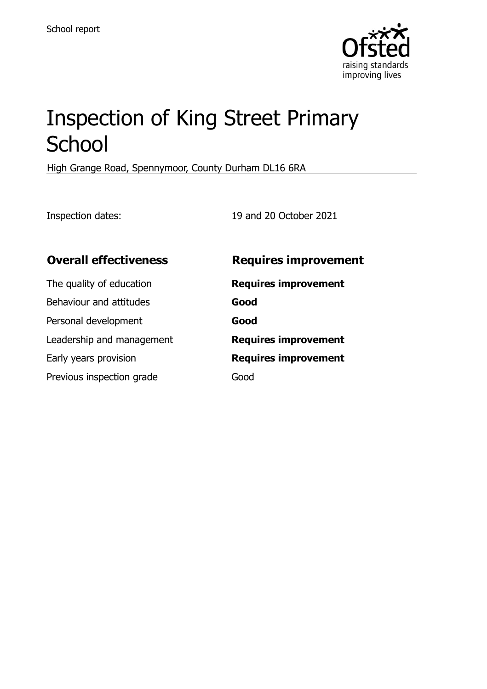

# Inspection of King Street Primary **School**

High Grange Road, Spennymoor, County Durham DL16 6RA

Inspection dates: 19 and 20 October 2021

| <b>Overall effectiveness</b> | <b>Requires improvement</b> |
|------------------------------|-----------------------------|
| The quality of education     | <b>Requires improvement</b> |
| Behaviour and attitudes      | Good                        |
| Personal development         | Good                        |
| Leadership and management    | <b>Requires improvement</b> |
| Early years provision        | <b>Requires improvement</b> |
| Previous inspection grade    | Good                        |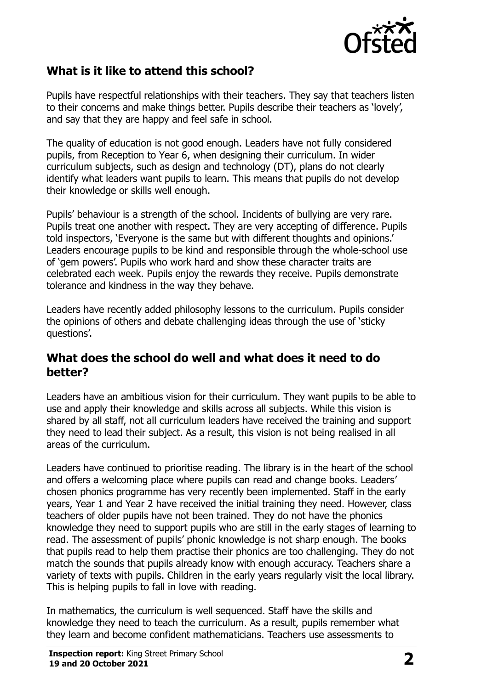

# **What is it like to attend this school?**

Pupils have respectful relationships with their teachers. They say that teachers listen to their concerns and make things better. Pupils describe their teachers as 'lovely', and say that they are happy and feel safe in school.

The quality of education is not good enough. Leaders have not fully considered pupils, from Reception to Year 6, when designing their curriculum. In wider curriculum subjects, such as design and technology (DT), plans do not clearly identify what leaders want pupils to learn. This means that pupils do not develop their knowledge or skills well enough.

Pupils' behaviour is a strength of the school. Incidents of bullying are very rare. Pupils treat one another with respect. They are very accepting of difference. Pupils told inspectors, 'Everyone is the same but with different thoughts and opinions.' Leaders encourage pupils to be kind and responsible through the whole-school use of 'gem powers'. Pupils who work hard and show these character traits are celebrated each week. Pupils enjoy the rewards they receive. Pupils demonstrate tolerance and kindness in the way they behave.

Leaders have recently added philosophy lessons to the curriculum. Pupils consider the opinions of others and debate challenging ideas through the use of 'sticky questions'.

### **What does the school do well and what does it need to do better?**

Leaders have an ambitious vision for their curriculum. They want pupils to be able to use and apply their knowledge and skills across all subjects. While this vision is shared by all staff, not all curriculum leaders have received the training and support they need to lead their subject. As a result, this vision is not being realised in all areas of the curriculum.

Leaders have continued to prioritise reading. The library is in the heart of the school and offers a welcoming place where pupils can read and change books. Leaders' chosen phonics programme has very recently been implemented. Staff in the early years, Year 1 and Year 2 have received the initial training they need. However, class teachers of older pupils have not been trained. They do not have the phonics knowledge they need to support pupils who are still in the early stages of learning to read. The assessment of pupils' phonic knowledge is not sharp enough. The books that pupils read to help them practise their phonics are too challenging. They do not match the sounds that pupils already know with enough accuracy. Teachers share a variety of texts with pupils. Children in the early years regularly visit the local library. This is helping pupils to fall in love with reading.

In mathematics, the curriculum is well sequenced. Staff have the skills and knowledge they need to teach the curriculum. As a result, pupils remember what they learn and become confident mathematicians. Teachers use assessments to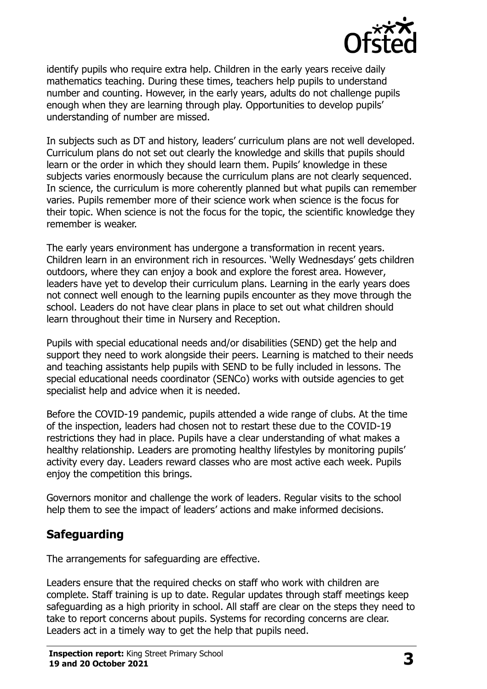

identify pupils who require extra help. Children in the early years receive daily mathematics teaching. During these times, teachers help pupils to understand number and counting. However, in the early years, adults do not challenge pupils enough when they are learning through play. Opportunities to develop pupils' understanding of number are missed.

In subjects such as DT and history, leaders' curriculum plans are not well developed. Curriculum plans do not set out clearly the knowledge and skills that pupils should learn or the order in which they should learn them. Pupils' knowledge in these subjects varies enormously because the curriculum plans are not clearly sequenced. In science, the curriculum is more coherently planned but what pupils can remember varies. Pupils remember more of their science work when science is the focus for their topic. When science is not the focus for the topic, the scientific knowledge they remember is weaker.

The early years environment has undergone a transformation in recent years. Children learn in an environment rich in resources. 'Welly Wednesdays' gets children outdoors, where they can enjoy a book and explore the forest area. However, leaders have yet to develop their curriculum plans. Learning in the early years does not connect well enough to the learning pupils encounter as they move through the school. Leaders do not have clear plans in place to set out what children should learn throughout their time in Nursery and Reception.

Pupils with special educational needs and/or disabilities (SEND) get the help and support they need to work alongside their peers. Learning is matched to their needs and teaching assistants help pupils with SEND to be fully included in lessons. The special educational needs coordinator (SENCo) works with outside agencies to get specialist help and advice when it is needed.

Before the COVID-19 pandemic, pupils attended a wide range of clubs. At the time of the inspection, leaders had chosen not to restart these due to the COVID-19 restrictions they had in place. Pupils have a clear understanding of what makes a healthy relationship. Leaders are promoting healthy lifestyles by monitoring pupils' activity every day. Leaders reward classes who are most active each week. Pupils enjoy the competition this brings.

Governors monitor and challenge the work of leaders. Regular visits to the school help them to see the impact of leaders' actions and make informed decisions.

# **Safeguarding**

The arrangements for safeguarding are effective.

Leaders ensure that the required checks on staff who work with children are complete. Staff training is up to date. Regular updates through staff meetings keep safeguarding as a high priority in school. All staff are clear on the steps they need to take to report concerns about pupils. Systems for recording concerns are clear. Leaders act in a timely way to get the help that pupils need.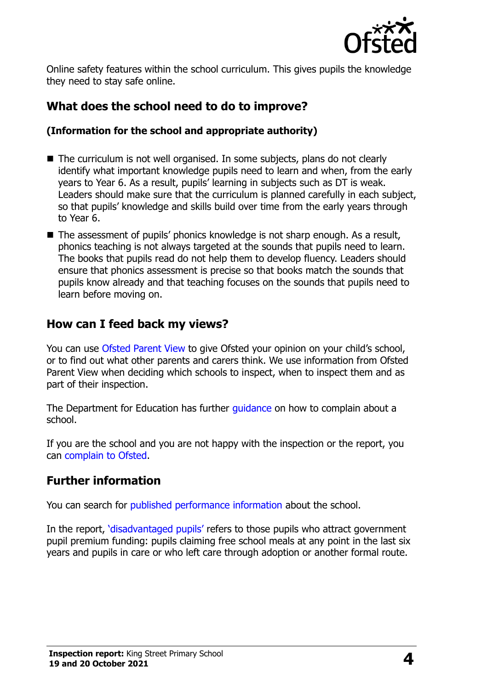

Online safety features within the school curriculum. This gives pupils the knowledge they need to stay safe online.

# **What does the school need to do to improve?**

#### **(Information for the school and appropriate authority)**

- The curriculum is not well organised. In some subjects, plans do not clearly identify what important knowledge pupils need to learn and when, from the early years to Year 6. As a result, pupils' learning in subjects such as DT is weak. Leaders should make sure that the curriculum is planned carefully in each subject, so that pupils' knowledge and skills build over time from the early years through to Year 6.
- The assessment of pupils' phonics knowledge is not sharp enough. As a result, phonics teaching is not always targeted at the sounds that pupils need to learn. The books that pupils read do not help them to develop fluency. Leaders should ensure that phonics assessment is precise so that books match the sounds that pupils know already and that teaching focuses on the sounds that pupils need to learn before moving on.

## **How can I feed back my views?**

You can use [Ofsted Parent View](http://parentview.ofsted.gov.uk/) to give Ofsted your opinion on your child's school, or to find out what other parents and carers think. We use information from Ofsted Parent View when deciding which schools to inspect, when to inspect them and as part of their inspection.

The Department for Education has further *quidance* on how to complain about a school.

If you are the school and you are not happy with the inspection or the report, you can [complain to Ofsted.](http://www.gov.uk/complain-ofsted-report)

# **Further information**

You can search for [published performance information](http://www.compare-school-performance.service.gov.uk/) about the school.

In the report, '[disadvantaged pupils](http://www.gov.uk/guidance/pupil-premium-information-for-schools-and-alternative-provision-settings)' refers to those pupils who attract government pupil premium funding: pupils claiming free school meals at any point in the last six years and pupils in care or who left care through adoption or another formal route.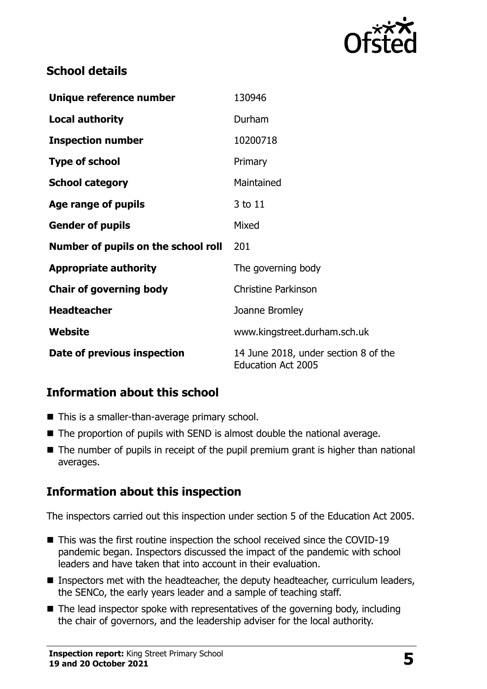

# **School details**

| Unique reference number             | 130946                                                            |
|-------------------------------------|-------------------------------------------------------------------|
| <b>Local authority</b>              | Durham                                                            |
| <b>Inspection number</b>            | 10200718                                                          |
| <b>Type of school</b>               | Primary                                                           |
| <b>School category</b>              | Maintained                                                        |
| Age range of pupils                 | 3 to 11                                                           |
| <b>Gender of pupils</b>             | Mixed                                                             |
| Number of pupils on the school roll | 201                                                               |
| <b>Appropriate authority</b>        | The governing body                                                |
| <b>Chair of governing body</b>      | <b>Christine Parkinson</b>                                        |
| <b>Headteacher</b>                  | Joanne Bromley                                                    |
| Website                             | www.kingstreet.durham.sch.uk                                      |
| Date of previous inspection         | 14 June 2018, under section 8 of the<br><b>Education Act 2005</b> |

# **Information about this school**

- This is a smaller-than-average primary school.
- The proportion of pupils with SEND is almost double the national average.
- The number of pupils in receipt of the pupil premium grant is higher than national averages.

# **Information about this inspection**

The inspectors carried out this inspection under section 5 of the Education Act 2005.

- This was the first routine inspection the school received since the COVID-19 pandemic began. Inspectors discussed the impact of the pandemic with school leaders and have taken that into account in their evaluation.
- **Inspectors met with the headteacher, the deputy headteacher, curriculum leaders,** the SENCo, the early years leader and a sample of teaching staff.
- $\blacksquare$  The lead inspector spoke with representatives of the governing body, including the chair of governors, and the leadership adviser for the local authority.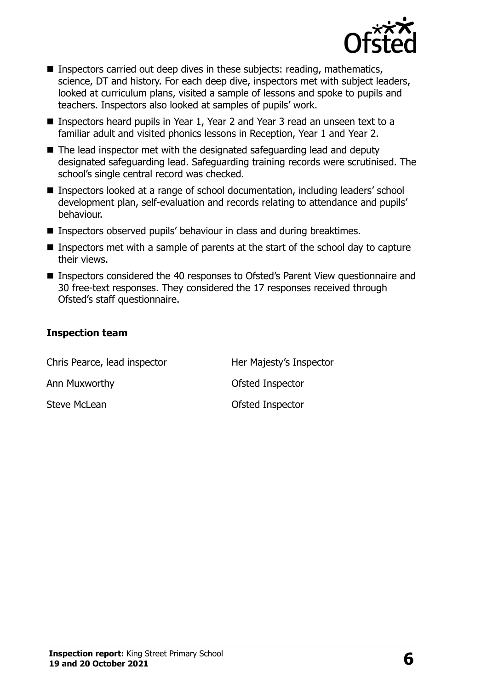

- **Inspectors carried out deep dives in these subjects: reading, mathematics,** science, DT and history. For each deep dive, inspectors met with subject leaders, looked at curriculum plans, visited a sample of lessons and spoke to pupils and teachers. Inspectors also looked at samples of pupils' work.
- Inspectors heard pupils in Year 1, Year 2 and Year 3 read an unseen text to a familiar adult and visited phonics lessons in Reception, Year 1 and Year 2.
- The lead inspector met with the designated safeguarding lead and deputy designated safeguarding lead. Safeguarding training records were scrutinised. The school's single central record was checked.
- Inspectors looked at a range of school documentation, including leaders' school development plan, self-evaluation and records relating to attendance and pupils' behaviour.
- Inspectors observed pupils' behaviour in class and during breaktimes.
- **Inspectors met with a sample of parents at the start of the school day to capture** their views.
- Inspectors considered the 40 responses to Ofsted's Parent View questionnaire and 30 free-text responses. They considered the 17 responses received through Ofsted's staff questionnaire.

#### **Inspection team**

| Chris Pearce, lead inspector | Her Majesty's Inspector |
|------------------------------|-------------------------|
| Ann Muxworthy                | Ofsted Inspector        |
| Steve McLean                 | Ofsted Inspector        |